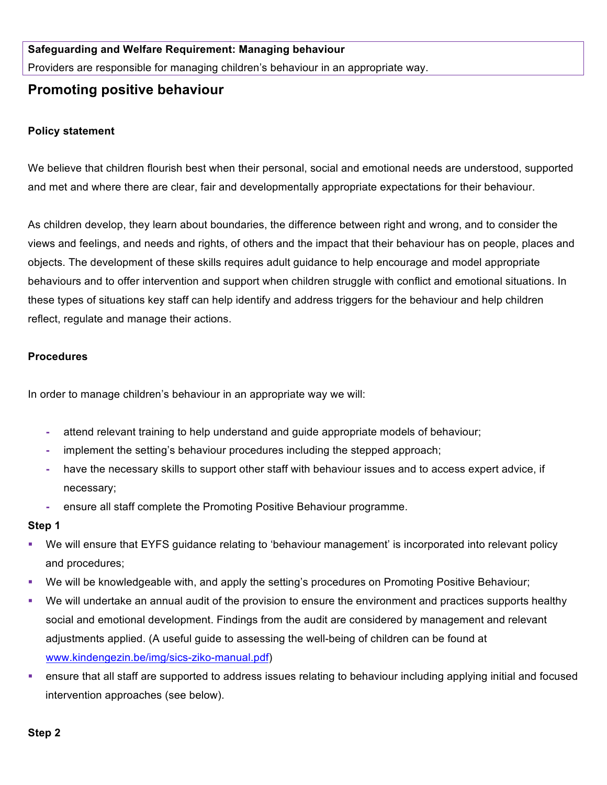## **Safeguarding and Welfare Requirement: Managing behaviour**

Providers are responsible for managing children's behaviour in an appropriate way.

# **Promoting positive behaviour**

### **Policy statement**

We believe that children flourish best when their personal, social and emotional needs are understood, supported and met and where there are clear, fair and developmentally appropriate expectations for their behaviour.

As children develop, they learn about boundaries, the difference between right and wrong, and to consider the views and feelings, and needs and rights, of others and the impact that their behaviour has on people, places and objects. The development of these skills requires adult guidance to help encourage and model appropriate behaviours and to offer intervention and support when children struggle with conflict and emotional situations. In these types of situations key staff can help identify and address triggers for the behaviour and help children reflect, regulate and manage their actions.

#### **Procedures**

In order to manage children's behaviour in an appropriate way we will:

- **-** attend relevant training to help understand and guide appropriate models of behaviour;
- **-** implement the setting's behaviour procedures including the stepped approach;
- **-** have the necessary skills to support other staff with behaviour issues and to access expert advice, if necessary;
- **-** ensure all staff complete the Promoting Positive Behaviour programme.

#### **Step 1**

- We will ensure that EYFS guidance relating to 'behaviour management' is incorporated into relevant policy and procedures;
- § We will be knowledgeable with, and apply the setting's procedures on Promoting Positive Behaviour;
- § We will undertake an annual audit of the provision to ensure the environment and practices supports healthy social and emotional development. Findings from the audit are considered by management and relevant adjustments applied. (A useful guide to assessing the well-being of children can be found at www.kindengezin.be/img/sics-ziko-manual.pdf)
- ensure that all staff are supported to address issues relating to behaviour including applying initial and focused intervention approaches (see below).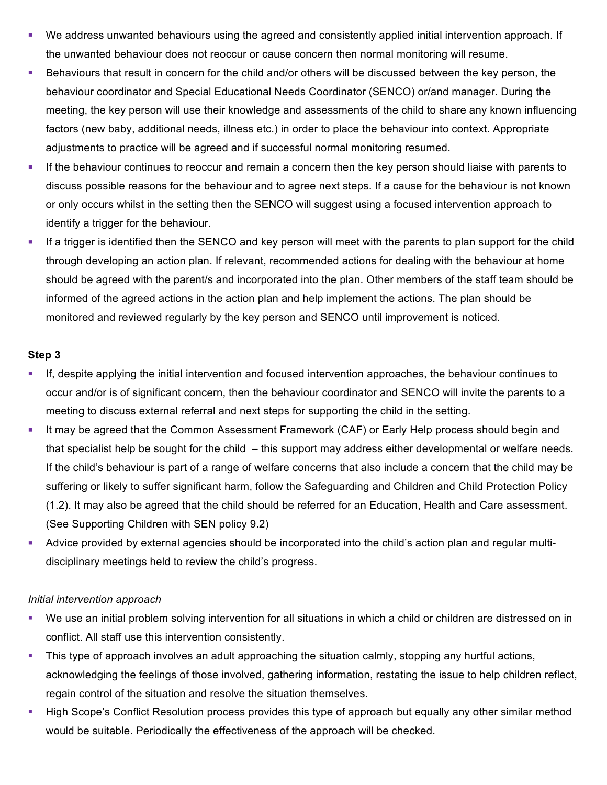- § We address unwanted behaviours using the agreed and consistently applied initial intervention approach. If the unwanted behaviour does not reoccur or cause concern then normal monitoring will resume.
- Behaviours that result in concern for the child and/or others will be discussed between the key person, the behaviour coordinator and Special Educational Needs Coordinator (SENCO) or/and manager. During the meeting, the key person will use their knowledge and assessments of the child to share any known influencing factors (new baby, additional needs, illness etc.) in order to place the behaviour into context. Appropriate adjustments to practice will be agreed and if successful normal monitoring resumed.
- § If the behaviour continues to reoccur and remain a concern then the key person should liaise with parents to discuss possible reasons for the behaviour and to agree next steps. If a cause for the behaviour is not known or only occurs whilst in the setting then the SENCO will suggest using a focused intervention approach to identify a trigger for the behaviour.
- If a trigger is identified then the SENCO and key person will meet with the parents to plan support for the child through developing an action plan. If relevant, recommended actions for dealing with the behaviour at home should be agreed with the parent/s and incorporated into the plan. Other members of the staff team should be informed of the agreed actions in the action plan and help implement the actions. The plan should be monitored and reviewed regularly by the key person and SENCO until improvement is noticed.

#### **Step 3**

- **•** If, despite applying the initial intervention and focused intervention approaches, the behaviour continues to occur and/or is of significant concern, then the behaviour coordinator and SENCO will invite the parents to a meeting to discuss external referral and next steps for supporting the child in the setting.
- It may be agreed that the Common Assessment Framework (CAF) or Early Help process should begin and that specialist help be sought for the child – this support may address either developmental or welfare needs. If the child's behaviour is part of a range of welfare concerns that also include a concern that the child may be suffering or likely to suffer significant harm, follow the Safeguarding and Children and Child Protection Policy (1.2). It may also be agreed that the child should be referred for an Education, Health and Care assessment. (See Supporting Children with SEN policy 9.2)
- Advice provided by external agencies should be incorporated into the child's action plan and regular multidisciplinary meetings held to review the child's progress.

### *Initial intervention approach*

- § We use an initial problem solving intervention for all situations in which a child or children are distressed on in conflict. All staff use this intervention consistently.
- This type of approach involves an adult approaching the situation calmly, stopping any hurtful actions, acknowledging the feelings of those involved, gathering information, restating the issue to help children reflect, regain control of the situation and resolve the situation themselves.
- § High Scope's Conflict Resolution process provides this type of approach but equally any other similar method would be suitable. Periodically the effectiveness of the approach will be checked.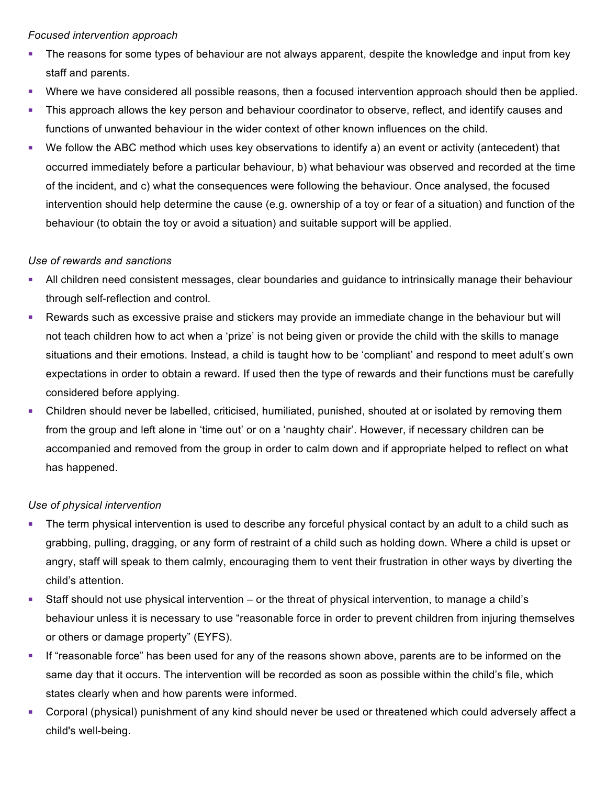## *Focused intervention approach*

- The reasons for some types of behaviour are not always apparent, despite the knowledge and input from key staff and parents.
- § Where we have considered all possible reasons, then a focused intervention approach should then be applied.
- This approach allows the key person and behaviour coordinator to observe, reflect, and identify causes and functions of unwanted behaviour in the wider context of other known influences on the child.
- We follow the ABC method which uses key observations to identify a) an event or activity (antecedent) that occurred immediately before a particular behaviour, b) what behaviour was observed and recorded at the time of the incident, and c) what the consequences were following the behaviour. Once analysed, the focused intervention should help determine the cause (e.g. ownership of a toy or fear of a situation) and function of the behaviour (to obtain the toy or avoid a situation) and suitable support will be applied.

# *Use of rewards and sanctions*

- All children need consistent messages, clear boundaries and quidance to intrinsically manage their behaviour through self-reflection and control.
- Rewards such as excessive praise and stickers may provide an immediate change in the behaviour but will not teach children how to act when a 'prize' is not being given or provide the child with the skills to manage situations and their emotions. Instead, a child is taught how to be 'compliant' and respond to meet adult's own expectations in order to obtain a reward. If used then the type of rewards and their functions must be carefully considered before applying.
- Children should never be labelled, criticised, humiliated, punished, shouted at or isolated by removing them from the group and left alone in 'time out' or on a 'naughty chair'. However, if necessary children can be accompanied and removed from the group in order to calm down and if appropriate helped to reflect on what has happened.

# *Use of physical intervention*

- The term physical intervention is used to describe any forceful physical contact by an adult to a child such as grabbing, pulling, dragging, or any form of restraint of a child such as holding down. Where a child is upset or angry, staff will speak to them calmly, encouraging them to vent their frustration in other ways by diverting the child's attention.
- Staff should not use physical intervention or the threat of physical intervention, to manage a child's behaviour unless it is necessary to use "reasonable force in order to prevent children from injuring themselves or others or damage property" (EYFS).
- If "reasonable force" has been used for any of the reasons shown above, parents are to be informed on the same day that it occurs. The intervention will be recorded as soon as possible within the child's file, which states clearly when and how parents were informed.
- § Corporal (physical) punishment of any kind should never be used or threatened which could adversely affect a child's well-being.